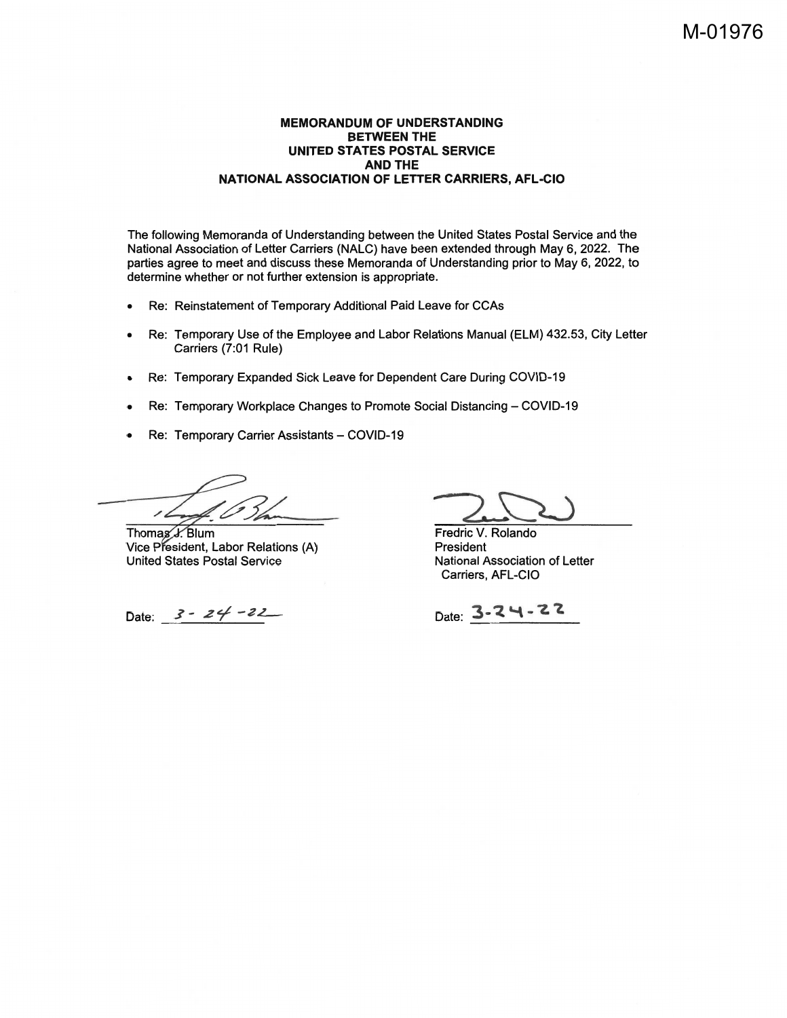#### **MEMORANDUM OF UNDERSTANDING BETWEEN THE** UNITED STATES POSTAL SERVICE **AND THE** NATIONAL ASSOCIATION OF LETTER CARRIERS, AFL-CIO

The following Memoranda of Understanding between the United States Postal Service and the National Association of Letter Carriers (NALC) have been extended through May 6, 2022. The parties agree to meet and discuss these Memoranda of Understanding prior to May 6, 2022, to determine whether or not further extension is appropriate.

- Re: Reinstatement of Temporary Additional Paid Leave for CCAs  $\bullet$
- Re: Temporary Use of the Employee and Labor Relations Manual (ELM) 432.53, City Letter Carriers (7:01 Rule)
- Re: Temporary Expanded Sick Leave for Dependent Care During COVID-19  $\bullet$
- Re: Temporary Workplace Changes to Promote Social Distancing COVID-19  $\bullet$
- Re: Temporary Carrier Assistants COVID-19  $\bullet$

11

Thomas J. Blum Vice President, Labor Relations (A) **United States Postal Service** 

Date:  $3 - 24 - 22$ 

Fredric V. Rolando President National Association of Letter Carriers, AFL-CIO

Date: 3-24-22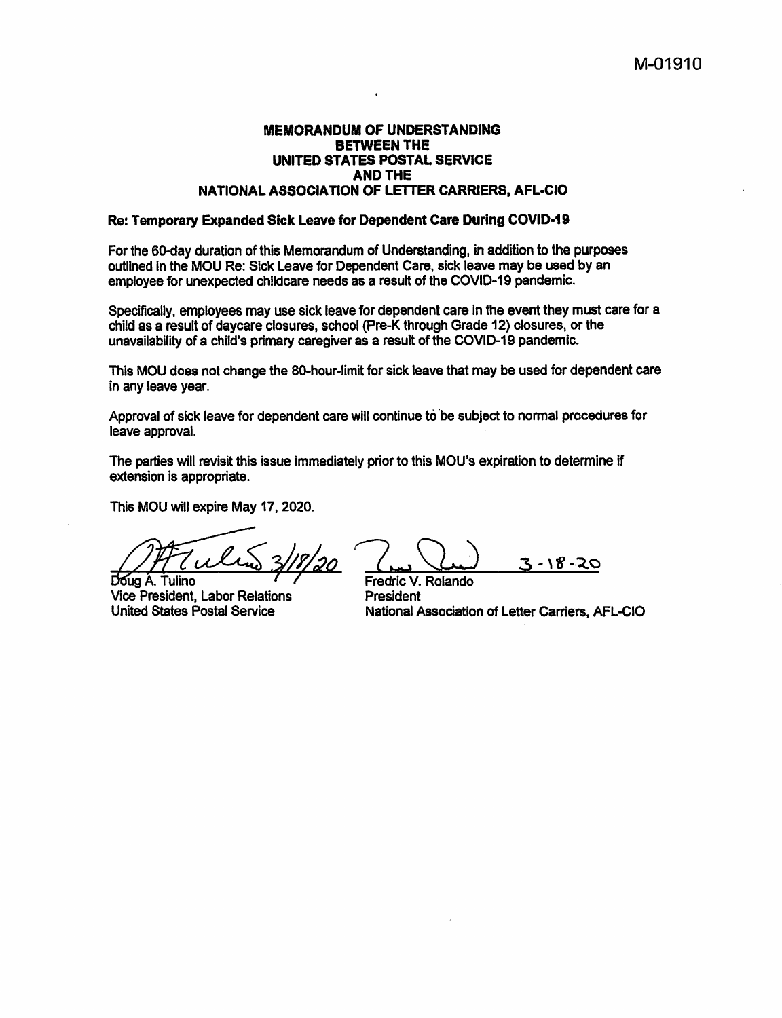# **MEMORANDUM OF UNDERSTANDING BETWEEN THE** UNITED STATES POSTAL SERVICE **AND THE** NATIONAL ASSOCIATION OF LETTER CARRIERS, AFL-CIO

#### Re: Temporary Expanded Sick Leave for Dependent Care During COVID-19

For the 60-day duration of this Memorandum of Understanding, in addition to the purposes outlined in the MOU Re: Sick Leave for Dependent Care, sick leave may be used by an employee for unexpected childcare needs as a result of the COVID-19 pandemic.

Specifically, employees may use sick leave for dependent care in the event they must care for a child as a result of davcare closures, school (Pre-K through Grade 12) closures, or the unavailability of a child's primary caregiver as a result of the COVID-19 pandemic.

This MOU does not change the 80-hour-limit for sick leave that may be used for dependent care in any leave year.

Approval of sick leave for dependent care will continue to be subject to normal procedures for leave approval.

The parties will revisit this issue immediately prior to this MOU's expiration to determine if extension is appropriate.

This MOU will expire May 17, 2020.

Doug A. Tulino

Vice President, Labor Relations **United States Postal Service** 

3 - 18 - 20

Fredric V. Rolando President National Association of Letter Carriers, AFL-CIO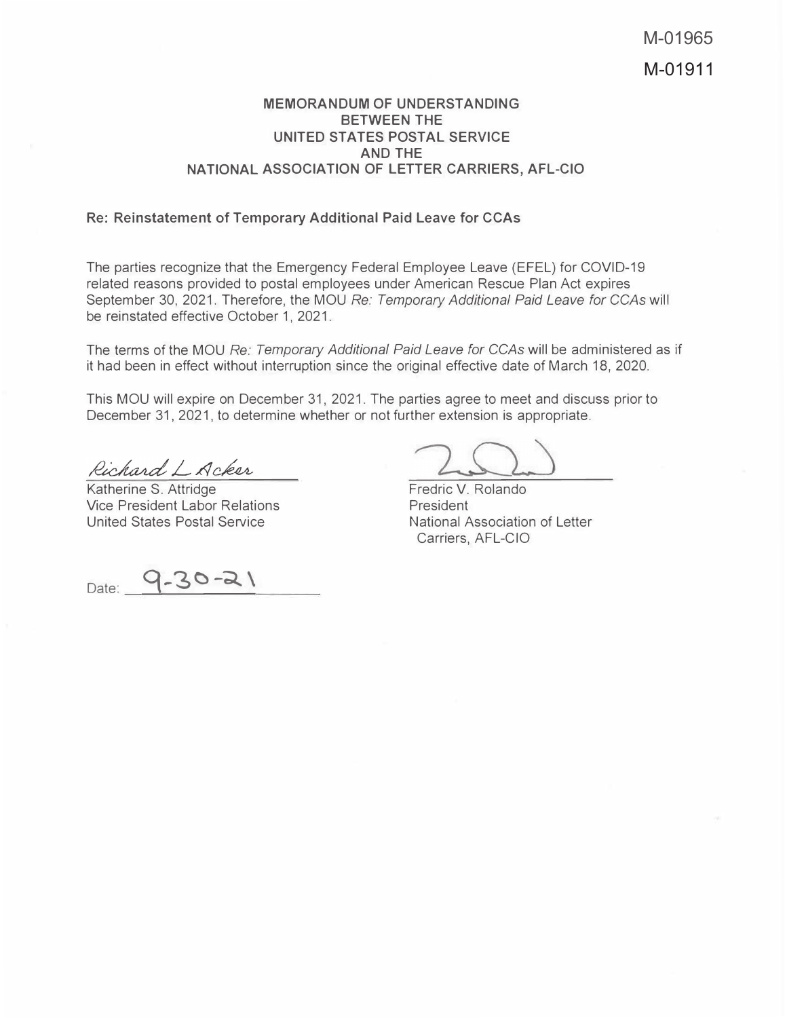# <code>MEMORANDUM OF UNDERSTANDING</code> **BETWEEN THE** UNITED STATES POSTAL SERVICE **AND THE** <code>NATIONAL ASSOCIATION OF LETTER CARRIERS, AFL-CIO</code>

# **Re: Reinstatement of Temporary Additional Paid Leave for CCAs**

The parties recognize that the Emergency Federal Employee Leave (EFEL) for COVID-19 related reasons provided to postal employees under American Rescue Plan Act expires September 30, 2021. Therefore, the MOU *Re: Temporary Additional Paid Leave for CCAs* will be reinstated effective October 1, 2021.

The terms of the MOU *Re: Temporary Additional Paid Leave for CCAs* will be administered as if it had been in effect without interruption since the original effective date of March 18, 2020.

This MOU will expire on December 31, 2021. The parties agree to meet and discuss prior to December 31, 2021, to determine whether or not further extension is appropriate.

Richard L Acker

Katherine S. Attridge Vice President Labor Relations United States Postal Service

Date: 9-30-21

Fredric V. Rolando President National Association of Letter Carriers, AFL-CIO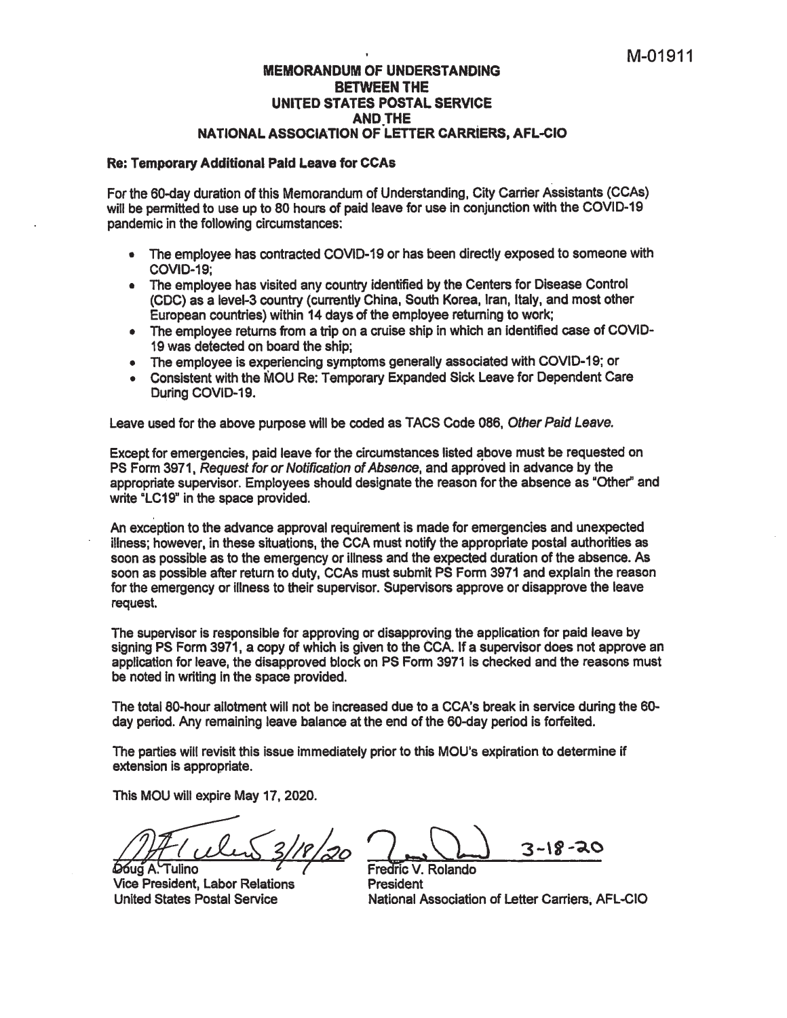### **MEMORANDUM OF UNDERSTANDING BETWEEN THE** UNITED STATES POSTAL SERVICE **AND THE** NATIONAL ASSOCIATION OF LETTER CARRIERS, AFL-CIO

# Re: Temporary Additional Paid Leave for CCAs

For the 60-day duration of this Memorandum of Understanding, City Carrier Assistants (CCAs) will be permitted to use up to 80 hours of paid leave for use in conjunction with the COVID-19 pandemic in the following circumstances:

- The employee has contracted COVID-19 or has been directly exposed to someone with  $\bullet$ **COVID-19:**
- The employee has visited any country identified by the Centers for Disease Control (CDC) as a level-3 country (currently China, South Korea, Iran, Italy, and most other European countries) within 14 days of the employee returning to work;
- The employee returns from a trip on a cruise ship in which an identified case of COVID-19 was detected on board the ship:
- The employee is experiencing symptoms generally associated with COVID-19; or
- Consistent with the MOU Re: Temporary Expanded Sick Leave for Dependent Care During COVID-19.

Leave used for the above purpose will be coded as TACS Code 086. Other Paid Leave.

Except for emergencies, paid leave for the circumstances listed above must be requested on PS Form 3971, Request for or Notification of Absence, and approved in advance by the appropriate supervisor. Employees should designate the reason for the absence as "Other" and write "LC19" in the space provided.

An exception to the advance approval requirement is made for emergencies and unexpected illness: however, in these situations, the CCA must notify the appropriate postal authorities as soon as possible as to the emergency or illness and the expected duration of the absence. As soon as possible after return to duty, CCAs must submit PS Form 3971 and explain the reason for the emergency or illness to their supervisor. Supervisors approve or disapprove the leave request.

The supervisor is responsible for approving or disapproving the application for paid leave by signing PS Form 3971, a copy of which is given to the CCA. If a supervisor does not approve an application for leave, the disapproved block on PS Form 3971 is checked and the reasons must be noted in writing in the space provided.

The total 80-hour allotment will not be increased due to a CCA's break in service during the 60day period. Any remaining leave balance at the end of the 60-day period is forfeited.

The parties will revisit this issue immediately prior to this MOU's expiration to determine if extension is appropriate.

This MOU will expire May 17, 2020.

Doug A. Tulino

**Vice President, Labor Relations United States Postal Service** 

3-18-20

Fredric V. Rolando President National Association of Letter Carriers, AFL-CIO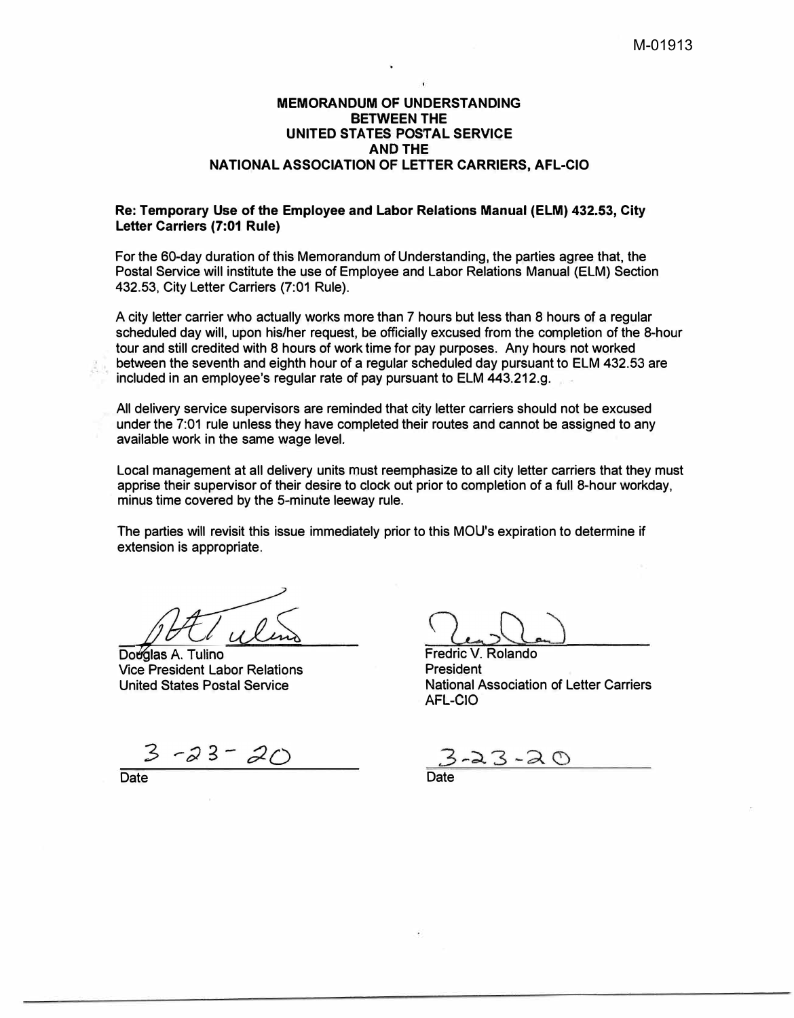# **MEMORANDUM OF UNDERSTANDING BETWEEN THE UNITED STATES POSTAL SERVICE AND THE NATIONAL ASSOCIATION OF LETTER CARRIERS, AFL-CIO**

# **Re: Temporary Use of the Employee and Labor Relations Manual (ELM) 432.53, City Letter Carriers (7:01 Rule)**

For the 60-day duration of this Memorandum of Understanding, the parties agree that, the Postal Service will institute the use of Employee and Labor Relations Manual (ELM) Section 432.53, City Letter Carriers (7:01 Rule).

A city letter carrier who actually works more than 7 hours but less than 8 hours of a regular scheduled day will, upon his/her request, be officially excused from the completion of the 8-hour tour and still credited with 8 hours of work time for pay purposes, Any hours not worked between the seventh and eighth hour of a regular scheduled day pursuant to ELM 432.53 are included in an employee's regular rate of pay pursuant to ELM 443.212.g.

All delivery service supervisors are reminded that city letter carriers should not be excused under the 7:01 rule unless they have completed their routes and cannot be assigned to any available work in the same wage level.

Local management at all delivery units must reemphasize to all city letter carriers that they must apprise their supervisor of their desire to clock out prior to completion of a full 8-hour workday, minus time covered by the 5-minute leeway rule.

The parties will revisit this issue immediately prior to this MOU's expiration to determine if extension is appropriate.

Douglas A. Tulino Vice President Labor Relations United States Postal Service

 $3 - 23 - 20$ 

Date

Fredric V. Rolando President National Association of Letter Carriers AFL-CIO

 $3 - 20$ 

Date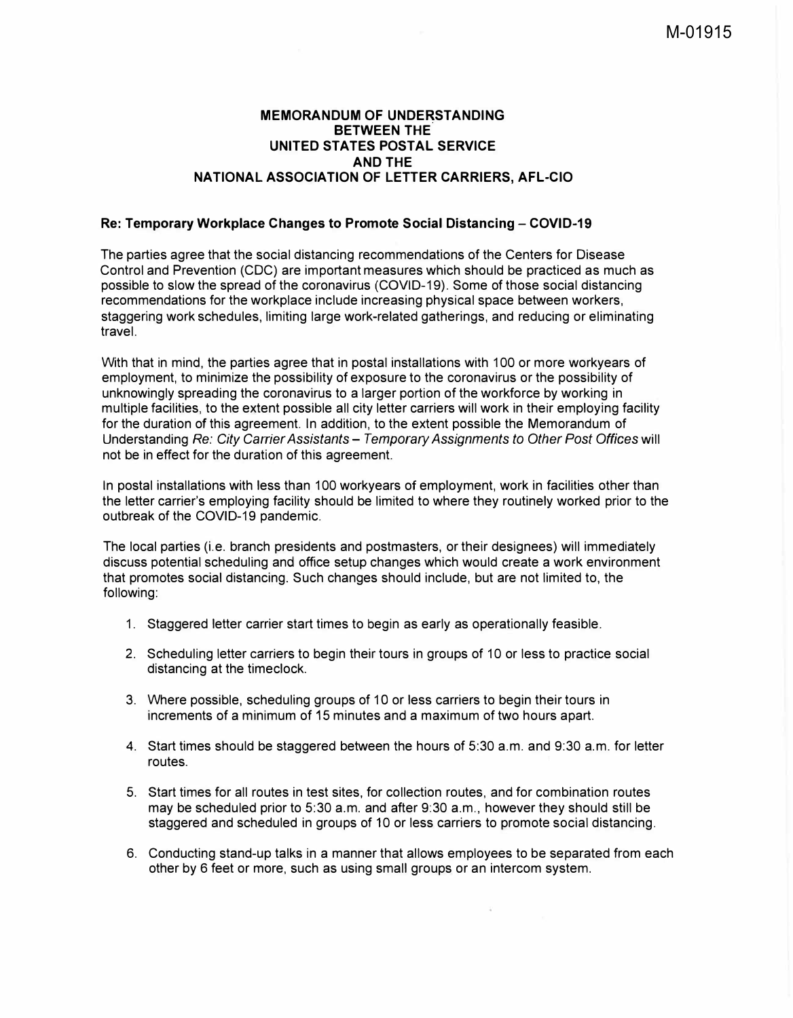# **MEMORANDUM OF UNDERSTANDING BETWEEN THE UNITED STATES POSTAL SERVICE AND THE NATIONAL ASSOCIATION OF LETTER CARRIERS, AFL-CIO**

# **Re: Temporary Workplace Changes to Promote Social Distancing - COVID-19**

The parties agree that the social distancing recommendations of the Centers for Disease Control and Prevention (CDC) are important measures which should be practiced as much as possible to slow the spread of the coronavirus (COVID-19). Some of those social distancing recommendations for the workplace include increasing physical space between workers, staggering work schedules, limiting large work-related gatherings, and reducing or eliminating travel.

With that in mind, the parties agree that in postal installations with 100 or more workyears of employment, to minimize the possibility of exposure to the coronavirus or the possibility of unknowingly spreading the coronavirus to a larger portion of the workforce by working in multiple facilities, to the extent possible all city letter carriers will work in their employing facility for the duration of this agreement. In addition, to the extent possible the Memorandum of Understanding *Re: City Carrier Assistants* - *Temporary Assignments to Other Post Offices* will not be in effect for the duration of this agreement.

In postal installations with less than 100 workyears of employment, work in facilities other than the letter carrier's employing facility should be limited to where they routinely worked prior to the outbreak of the COVID-19 pandemic.

The local parties (i.e. branch presidents and postmasters, or their designees) will immediately discuss potential scheduling and office setup changes which would create a work environment that promotes social distancing. Such changes should include, but are not limited to, the following:

- 1. Staggered letter carrier start times to begin as early as operationally feasible.
- 2. Scheduling letter carriers to begin their tours in groups of 10 or less to practice social distancing at the timeclock.
- 3. Where possible, scheduling groups of 1 O or less carriers to begin their tours in increments of a minimum of 15 minutes and a maximum of two hours apart.
- 4. Start times should be staggered between the hours of 5:30 a.m. and 9:30 a.m. for letter routes.
- 5. Start times for all routes in test sites, for collection routes, and for combination routes may be scheduled prior to 5:30 a.m. and after 9:30 a.m., however they should still be staggered and scheduled in groups of 10 or less carriers to promote social distancing.
- 6. Conducting stand-up talks in a manner that allows employees to be separated from each other by 6 feet or more, such as using small groups or an intercom system.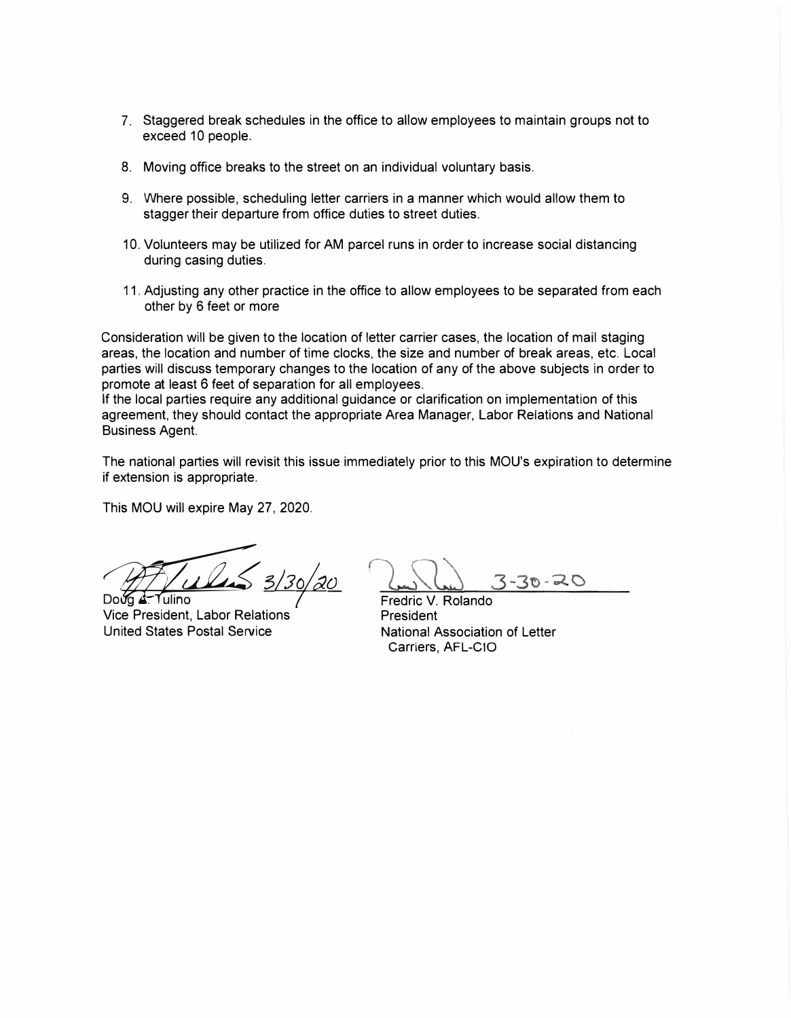- 7. Staggered break schedules in the office to allow employees to maintain groups not to exceed 10 people.
- 8. Moving office breaks to the street on an individual voluntary basis.
- 9. Where possible, scheduling letter carriers in a manner which would allow them to stagger their departure from office duties to street duties.
- 10. Volunteers may be utilized for AM parcel runs in order to increase social distancing during casing duties.
- 11. Adjusting any other practice in the office to allow employees to be separated from each other by 6 feet or more

Consideration will be given to the location of letter carrier cases, the location of mail staging areas, the location and number of time clocks, the size and number of break areas, etc. Local parties will discuss temporary changes to the location of any of the above subjects in order to promote at least 6 feet of separation for all employees.

If the local parties require any additional guidance or clarification on implementation of this agreement, they should contact the appropriate Area Manager, Labor Relations and National Business Agent.

The national parties will revisit this issue immediately prior to this MOU's expiration to determine if extension is appropriate.

This MOU will expire May 27, 2020.

**bo**og <u>A</u> ULLES 3/30/20

Vice President, Labor Relations United States Postal Service

 $30 - 20$ 

Fredric V. Rolando President National Association of Letter Carriers, AFL-CIO